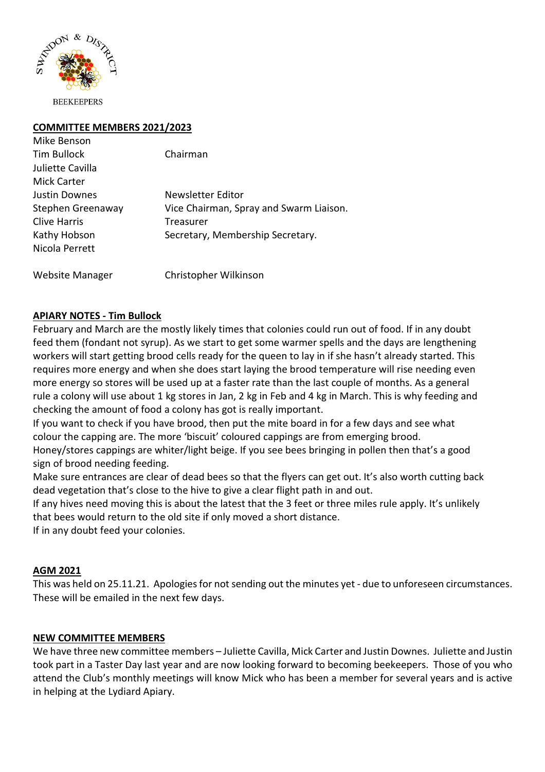

Mike Benson

## **COMMITTEE MEMBERS 2021/2023**

| <b>Tim Bullock</b> | Chairman                                |
|--------------------|-----------------------------------------|
| Juliette Cavilla   |                                         |
| <b>Mick Carter</b> |                                         |
| Justin Downes      | Newsletter Editor                       |
| Stephen Greenaway  | Vice Chairman, Spray and Swarm Liaison. |
| Clive Harris       | Treasurer                               |
| Kathy Hobson       | Secretary, Membership Secretary.        |
| Nicola Perrett     |                                         |
|                    |                                         |

Website Manager Christopher Wilkinson

## **APIARY NOTES - Tim Bullock**

February and March are the mostly likely times that colonies could run out of food. If in any doubt feed them (fondant not syrup). As we start to get some warmer spells and the days are lengthening workers will start getting brood cells ready for the queen to lay in if she hasn't already started. This requires more energy and when she does start laying the brood temperature will rise needing even more energy so stores will be used up at a faster rate than the last couple of months. As a general rule a colony will use about 1 kg stores in Jan, 2 kg in Feb and 4 kg in March. This is why feeding and checking the amount of food a colony has got is really important.

If you want to check if you have brood, then put the mite board in for a few days and see what colour the capping are. The more 'biscuit' coloured cappings are from emerging brood.

Honey/stores cappings are whiter/light beige. If you see bees bringing in pollen then that's a good sign of brood needing feeding.

Make sure entrances are clear of dead bees so that the flyers can get out. It's also worth cutting back dead vegetation that's close to the hive to give a clear flight path in and out.

If any hives need moving this is about the latest that the 3 feet or three miles rule apply. It's unlikely that bees would return to the old site if only moved a short distance.

If in any doubt feed your colonies.

### **AGM 2021**

This was held on 25.11.21. Apologies for not sending out the minutes yet - due to unforeseen circumstances. These will be emailed in the next few days.

### **NEW COMMITTEE MEMBERS**

We have three new committee members – Juliette Cavilla, Mick Carter and Justin Downes. Juliette and Justin took part in a Taster Day last year and are now looking forward to becoming beekeepers. Those of you who attend the Club's monthly meetings will know Mick who has been a member for several years and is active in helping at the Lydiard Apiary.